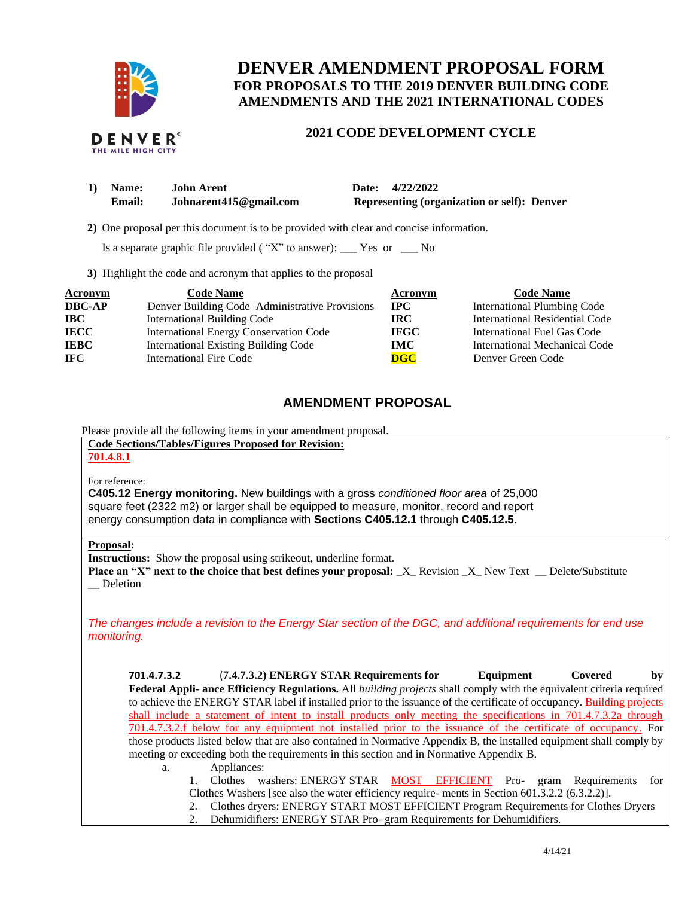

# **DENVER AMENDMENT PROPOSAL FORM FOR PROPOSALS TO THE 2019 DENVER BUILDING CODE AMENDMENTS AND THE 2021 INTERNATIONAL CODES**

# **2021 CODE DEVELOPMENT CYCLE**

| 1) Name:      | <b>John Arent</b>      | Date: 4/22/2022                             |
|---------------|------------------------|---------------------------------------------|
| <b>Email:</b> | Johnarent415@gmail.com | Representing (organization or self): Denver |

 **2)** One proposal per this document is to be provided with clear and concise information.

Is a separate graphic file provided ( "X" to answer): \_\_\_ Yes or \_\_\_ No

**3)** Highlight the code and acronym that applies to the proposal

| <b>Acronym</b> | <b>Code Name</b>                               | <b>Acronym</b> | <b>Code Name</b>                   |
|----------------|------------------------------------------------|----------------|------------------------------------|
| <b>DBC-AP</b>  | Denver Building Code-Administrative Provisions | $\bf{IPC}$     | <b>International Plumbing Code</b> |
| <b>IBC</b>     | <b>International Building Code</b>             | IRC.           | International Residential Code     |
| <b>IECC</b>    | <b>International Energy Conservation Code</b>  | <b>IFGC</b>    | International Fuel Gas Code        |
| <b>IEBC</b>    | <b>International Existing Building Code</b>    | IMC.           | International Mechanical Code      |
| <b>IFC</b>     | International Fire Code                        | <b>DGC</b>     | Denver Green Code                  |

# **AMENDMENT PROPOSAL**

Please provide all the following items in your amendment proposal.

**Code Sections/Tables/Figures Proposed for Revision:**

## **701.4.8.1**

For reference:

**C405.12 Energy monitoring.** New buildings with a gross *conditioned floor area* of 25,000 square feet (2322 m2) or larger shall be equipped to measure, monitor, record and report energy consumption data in compliance with **Sections C405.12.1** through **C405.12.5**.

#### **Proposal:**

**Instructions:** Show the proposal using strikeout, underline format.

**Place an "X" next to the choice that best defines your proposal:** \_X\_ Revision \_X\_ New Text \_\_ Delete/Substitute \_\_ Deletion

*The changes include a revision to the Energy Star section of the DGC, and additional requirements for end use monitoring.*

**701.4.7.3.2** (**7.4.7.3.2) ENERGY STAR Requirements for Equipment Covered by Federal Appli- ance Efficiency Regulations.** All *building projects* shall comply with the equivalent criteria required to achieve the ENERGY STAR label if installed prior to the issuance of the certificate of occupancy. Building projects shall include a statement of intent to install products only meeting the specifications in 701.4.7.3.2a through 701.4.7.3.2.f below for any equipment not installed prior to the issuance of the certificate of occupancy. For those products listed below that are also contained in Normative Appendix B, the installed equipment shall comply by meeting or exceeding both the requirements in this section and in Normative Appendix B. a. Appliances:

- 1. Clothes washers: ENERGY STAR MOST EFFICIENT Pro- gram Requirements for Clothes Washers [see also the water efficiency require- ments in Section 601.3.2.2 (6.3.2.2)].
	- 2. Clothes dryers: ENERGY START MOST EFFICIENT Program Requirements for Clothes Dryers
	- 2. Dehumidifiers: ENERGY STAR Pro- gram Requirements for Dehumidifiers.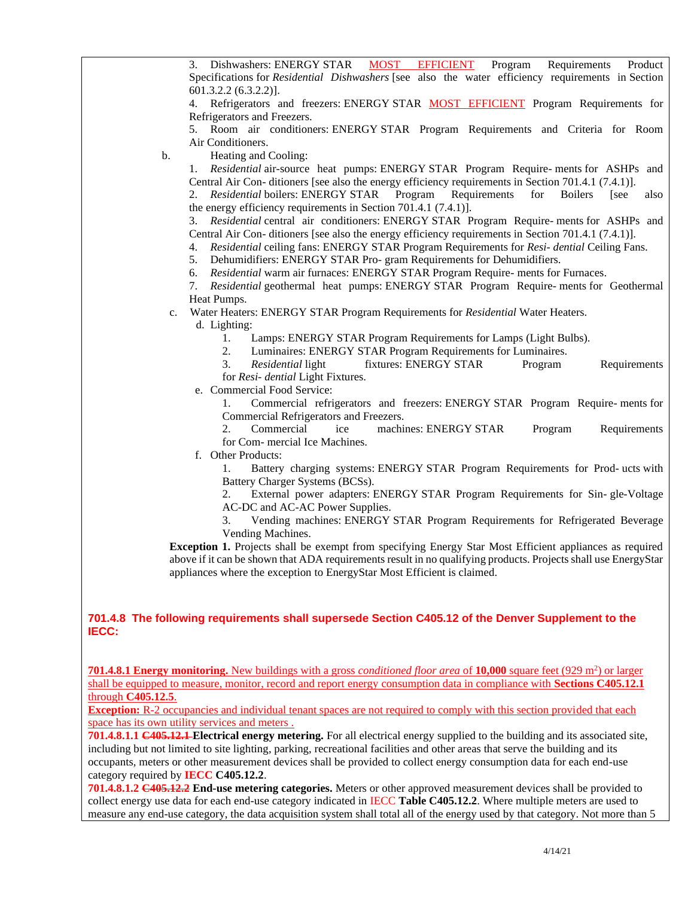3. Dishwashers: ENERGY STAR MOST EFFICIENT Program Requirements Product Specifications for *Residential Dishwashers* [see also the water efficiency requirements in Section 601.3.2.2 (6.3.2.2)]. 4. Refrigerators and freezers: ENERGY STAR MOST EFFICIENT Program Requirements for Refrigerators and Freezers. 5. Room air conditioners: ENERGY STAR Program Requirements and Criteria for Room Air Conditioners. b. Heating and Cooling: 1. *Residential* air-source heat pumps: ENERGY STAR Program Require- ments for ASHPs and Central Air Con- ditioners [see also the energy efficiency requirements in Section 701.4.1 (7.4.1)]. 2. *Residential* boilers: ENERGY STAR Program Requirements for Boilers [see also the energy efficiency requirements in Section 701.4.1 (7.4.1)]. 3. *Residential* central air conditioners: ENERGY STAR Program Require- ments for ASHPs and Central Air Con- ditioners [see also the energy efficiency requirements in Section 701.4.1 (7.4.1)]. 4. *Residential* ceiling fans: ENERGY STAR Program Requirements for *Resi- dential* Ceiling Fans. 5. Dehumidifiers: ENERGY STAR Pro- gram Requirements for Dehumidifiers. 6. *Residential* warm air furnaces: ENERGY STAR Program Require- ments for Furnaces. 7. *Residential* geothermal heat pumps: ENERGY STAR Program Require- ments for Geothermal Heat Pumps. c. Water Heaters: ENERGY STAR Program Requirements for *Residential* Water Heaters. d. Lighting: 1. Lamps: ENERGY STAR Program Requirements for Lamps (Light Bulbs). 2. Luminaires: ENERGY STAR Program Requirements for Luminaires. 3. *Residential* light fixtures: ENERGY STAR Program Requirements for *Resi- dential* Light Fixtures. e. Commercial Food Service: 1. Commercial refrigerators and freezers: ENERGY STAR Program Require- ments for Commercial Refrigerators and Freezers. 2. Commercial ice machines: ENERGY STAR Program Requirements for Com- mercial Ice Machines. f. Other Products: 1. Battery charging systems: ENERGY STAR Program Requirements for Prod- ucts with Battery Charger Systems (BCSs). 2. External power adapters: ENERGY STAR Program Requirements for Sin- gle-Voltage AC-DC and AC-AC Power Supplies. 3. Vending machines: ENERGY STAR Program Requirements for Refrigerated Beverage Vending Machines. **Exception 1.** Projects shall be exempt from specifying Energy Star Most Efficient appliances as required above if it can be shown that ADA requirements result in no qualifying products. Projects shall use EnergyStar appliances where the exception to EnergyStar Most Efficient is claimed. **701.4.8 The following requirements shall supersede Section C405.12 of the Denver Supplement to the 701.4.8.1 Energy monitoring.** New buildings with a gross *conditioned floor area* of 10,000 square feet (929 m<sup>2</sup>) or larger shall be equipped to measure, monitor, record and report energy consumption data in compliance with **Sections C405.12.1**  through **C405.12.5**. **Exception:** R-2 occupancies and individual tenant spaces are not required to comply with this section provided that each space has its own utility services and meters . **701.4.8.1.1 C405.12.1 Electrical energy metering.** For all electrical energy supplied to the building and its associated site,

including but not limited to site lighting, parking, recreational facilities and other areas that serve the building and its occupants, meters or other measurement devices shall be provided to collect energy consumption data for each end-use category required by **IECC C405.12.2**.

**IECC:**

**701.4.8.1.2 C405.12.2 End-use metering categories.** Meters or other approved measurement devices shall be provided to collect energy use data for each end-use category indicated in IECC **Table C405.12.2**. Where multiple meters are used to measure any end-use category, the data acquisition system shall total all of the energy used by that category. Not more than 5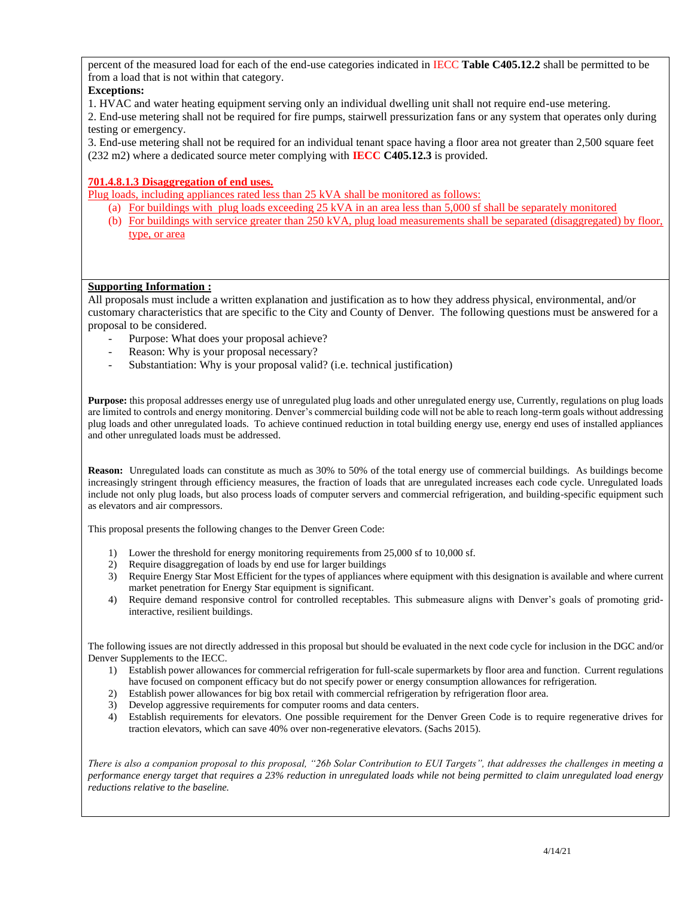percent of the measured load for each of the end-use categories indicated in IECC **Table C405.12.2** shall be permitted to be from a load that is not within that category.

## **Exceptions:**

1. HVAC and water heating equipment serving only an individual dwelling unit shall not require end-use metering.

2. End-use metering shall not be required for fire pumps, stairwell pressurization fans or any system that operates only during testing or emergency.

3. End-use metering shall not be required for an individual tenant space having a floor area not greater than 2,500 square feet (232 m2) where a dedicated source meter complying with **IECC C405.12.3** is provided.

### **701.4.8.1.3 Disaggregation of end uses.**

Plug loads, including appliances rated less than 25 kVA shall be monitored as follows:

- (a) For buildings with plug loads exceeding 25 kVA in an area less than 5,000 sf shall be separately monitored
- (b) For buildings with service greater than 250 kVA, plug load measurements shall be separated (disaggregated) by floor, type, or area

### **Supporting Information :**

All proposals must include a written explanation and justification as to how they address physical, environmental, and/or customary characteristics that are specific to the City and County of Denver. The following questions must be answered for a proposal to be considered.

- Purpose: What does your proposal achieve?
- Reason: Why is your proposal necessary?
- Substantiation: Why is your proposal valid? (i.e. technical justification)

**Purpose:** this proposal addresses energy use of unregulated plug loads and other unregulated energy use, Currently, regulations on plug loads are limited to controls and energy monitoring. Denver's commercial building code will not be able to reach long-term goals without addressing plug loads and other unregulated loads. To achieve continued reduction in total building energy use, energy end uses of installed appliances and other unregulated loads must be addressed.

**Reason:** Unregulated loads can constitute as much as 30% to 50% of the total energy use of commercial buildings. As buildings become increasingly stringent through efficiency measures, the fraction of loads that are unregulated increases each code cycle. Unregulated loads include not only plug loads, but also process loads of computer servers and commercial refrigeration, and building-specific equipment such as elevators and air compressors.

This proposal presents the following changes to the Denver Green Code:

- 1) Lower the threshold for energy monitoring requirements from 25,000 sf to 10,000 sf.
- 2) Require disaggregation of loads by end use for larger buildings
- 3) Require Energy Star Most Efficient for the types of appliances where equipment with this designation is available and where current market penetration for Energy Star equipment is significant.
- 4) Require demand responsive control for controlled receptables. This submeasure aligns with Denver's goals of promoting gridinteractive, resilient buildings.

The following issues are not directly addressed in this proposal but should be evaluated in the next code cycle for inclusion in the DGC and/or Denver Supplements to the IECC.

- 1) Establish power allowances for commercial refrigeration for full-scale supermarkets by floor area and function. Current regulations have focused on component efficacy but do not specify power or energy consumption allowances for refrigeration.
- 2) Establish power allowances for big box retail with commercial refrigeration by refrigeration floor area.
- 3) Develop aggressive requirements for computer rooms and data centers.
- 4) Establish requirements for elevators. One possible requirement for the Denver Green Code is to require regenerative drives for traction elevators, which can save 40% over non-regenerative elevators. (Sachs 2015).

*There is also a companion proposal to this proposal, "26b Solar Contribution to EUI Targets", that addresses the challenges in meeting a performance energy target that requires a 23% reduction in unregulated loads while not being permitted to claim unregulated load energy reductions relative to the baseline.*